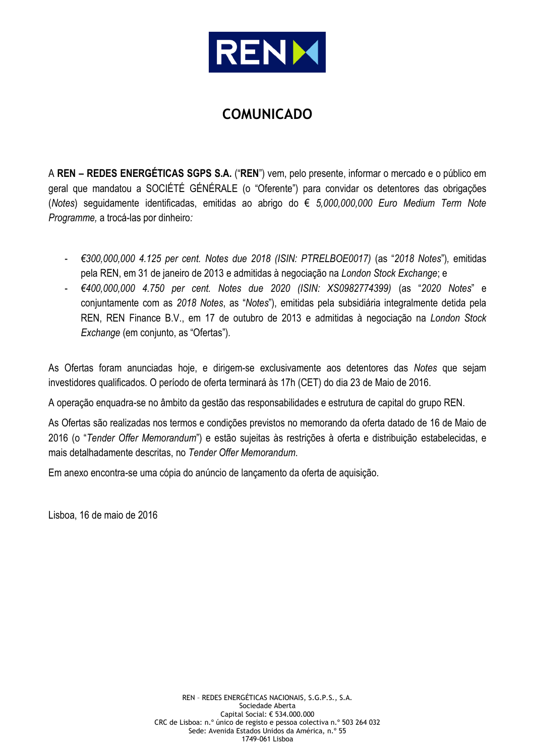

# **COMUNICADO**

A **REN – REDES ENERGÉTICAS SGPS S.A.** ("**REN**") vem, pelo presente, informar o mercado e o público em geral que mandatou a SOCIÉTÉ GÉNÉRALE (o "Oferente") para convidar os detentores das obrigações (*Notes*) seguidamente identificadas, emitidas ao abrigo do € *5,000,000,000 Euro Medium Term Note Programme,* a trocá-las por dinheiro*:*

- *€300,000,000 4.125 per cent. Notes due 2018 (ISIN: PTRELBOE0017)* (as "*2018 Notes*")*,* emitidas pela REN, em 31 de janeiro de 2013 e admitidas à negociação na *London Stock Exchange*; e
- *€400,000,000 4.750 per cent. Notes due 2020 (ISIN: XS0982774399)* (as "*2020 Notes*" e conjuntamente com as *2018 Notes*, as "*Notes*"), emitidas pela subsidiária integralmente detida pela REN, REN Finance B.V., em 17 de outubro de 2013 e admitidas à negociação na *London Stock Exchange* (em conjunto, as "Ofertas")*.*

As Ofertas foram anunciadas hoje, e dirigem-se exclusivamente aos detentores das *Notes* que sejam investidores qualificados. O período de oferta terminará às 17h (CET) do dia 23 de Maio de 2016.

A operação enquadra-se no âmbito da gestão das responsabilidades e estrutura de capital do grupo REN.

As Ofertas são realizadas nos termos e condições previstos no memorando da oferta datado de 16 de Maio de 2016 (o "*Tender Offer Memorandum*") e estão sujeitas às restrições à oferta e distribuição estabelecidas, e mais detalhadamente descritas, no *Tender Offer Memorandum*.

Em anexo encontra-se uma cópia do anúncio de lançamento da oferta de aquisição.

Lisboa, 16 de maio de 2016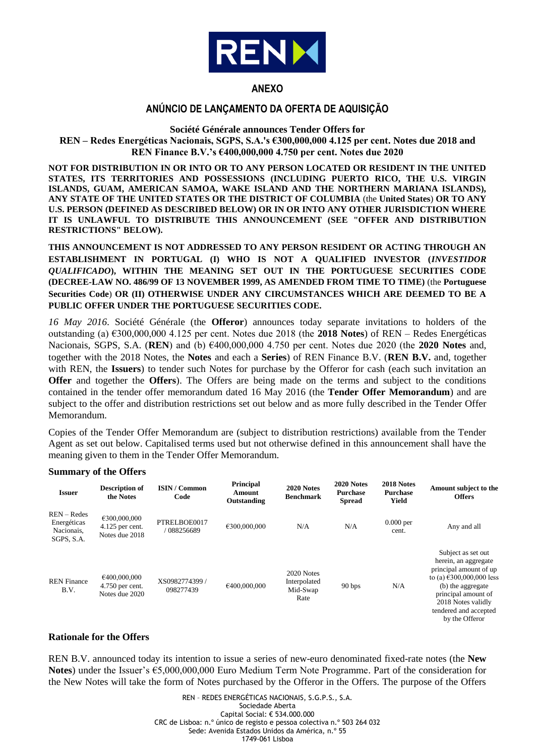

# **ANEXO**

## **ANÚNCIO DE LANÇAMENTO DA OFERTA DE AQUISIÇÃO**

**Société Générale announces Tender Offers for REN – Redes Energéticas Nacionais, SGPS, S.A.'s €300,000,000 4.125 per cent. Notes due 2018 and REN Finance B.V.'s €400,000,000 4.750 per cent. Notes due 2020**

**NOT FOR DISTRIBUTION IN OR INTO OR TO ANY PERSON LOCATED OR RESIDENT IN THE UNITED STATES, ITS TERRITORIES AND POSSESSIONS (INCLUDING PUERTO RICO, THE U.S. VIRGIN ISLANDS, GUAM, AMERICAN SAMOA, WAKE ISLAND AND THE NORTHERN MARIANA ISLANDS), ANY STATE OF THE UNITED STATES OR THE DISTRICT OF COLUMBIA** (the **United States**) **OR TO ANY U.S. PERSON (DEFINED AS DESCRIBED BELOW) OR IN OR INTO ANY OTHER JURISDICTION WHERE IT IS UNLAWFUL TO DISTRIBUTE THIS ANNOUNCEMENT (SEE "OFFER AND DISTRIBUTION RESTRICTIONS" BELOW).**

**THIS ANNOUNCEMENT IS NOT ADDRESSED TO ANY PERSON RESIDENT OR ACTING THROUGH AN ESTABLISHMENT IN PORTUGAL (I) WHO IS NOT A QUALIFIED INVESTOR (***INVESTIDOR QUALIFICADO***), WITHIN THE MEANING SET OUT IN THE PORTUGUESE SECURITIES CODE (DECREE-LAW NO. 486/99 OF 13 NOVEMBER 1999, AS AMENDED FROM TIME TO TIME)** (the **Portuguese Securities Code**) **OR (II) OTHERWISE UNDER ANY CIRCUMSTANCES WHICH ARE DEEMED TO BE A PUBLIC OFFER UNDER THE PORTUGUESE SECURITIES CODE.** 

*16 May 2016*. Société Générale (the **Offeror**) announces today separate invitations to holders of the outstanding (a) €300,000,000 4.125 per cent. Notes due 2018 (the **2018 Notes**) of REN – Redes Energéticas Nacionais, SGPS, S.A. (**REN**) and (b) €400,000,000 4.750 per cent. Notes due 2020 (the **2020 Notes** and, together with the 2018 Notes, the **Notes** and each a **Series**) of REN Finance B.V. (**REN B.V.** and, together with REN, the **Issuers**) to tender such Notes for purchase by the Offeror for cash (each such invitation an **Offer** and together the **Offers**). The Offers are being made on the terms and subject to the conditions contained in the tender offer memorandum dated 16 May 2016 (the **Tender Offer Memorandum**) and are subject to the offer and distribution restrictions set out below and as more fully described in the Tender Offer Memorandum.

Copies of the Tender Offer Memorandum are (subject to distribution restrictions) available from the Tender Agent as set out below. Capitalised terms used but not otherwise defined in this announcement shall have the meaning given to them in the Tender Offer Memorandum.

#### **Summary of the Offers**

| <b>Issuer</b>                                            | <b>Description of</b><br>the Notes                  | <b>ISIN / Common</b><br>Code | Principal<br>Amount<br>Outstanding | 2020 Notes<br><b>Benchmark</b>                 | 2020 Notes<br><b>Purchase</b><br><b>Spread</b> | 2018 Notes<br><b>Purchase</b><br>Yield | Amount subject to the<br><b>Offers</b>                                                                                                                                                                                             |
|----------------------------------------------------------|-----------------------------------------------------|------------------------------|------------------------------------|------------------------------------------------|------------------------------------------------|----------------------------------------|------------------------------------------------------------------------------------------------------------------------------------------------------------------------------------------------------------------------------------|
| $REN - Redes$<br>Energéticas<br>Nacionais,<br>SGPS, S.A. | €300,000,000<br>4.125 per cent.<br>Notes due 2018   | PTRELBOE0017<br>088256689    | €300,000,000                       | N/A                                            | N/A                                            | $0.000$ per<br>cent.                   | Any and all                                                                                                                                                                                                                        |
| <b>REN</b> Finance<br>B.V.                               | €400,000,000<br>$4.750$ per cent.<br>Notes due 2020 | XS0982774399 /<br>098277439  | €400,000,000                       | 2020 Notes<br>Interpolated<br>Mid-Swap<br>Rate | 90 bps                                         | N/A                                    | Subject as set out<br>herein, an aggregate<br>principal amount of up<br>to (a) $\text{\textsterling}300,000,000$ less<br>(b) the aggregate<br>principal amount of<br>2018 Notes validly<br>tendered and accepted<br>by the Offeror |

#### **Rationale for the Offers**

REN B.V. announced today its intention to issue a series of new-euro denominated fixed-rate notes (the **New Notes**) under the Issuer's €5,000,000,000 Euro Medium Term Note Programme. Part of the consideration for the New Notes will take the form of Notes purchased by the Offeror in the Offers. The purpose of the Offers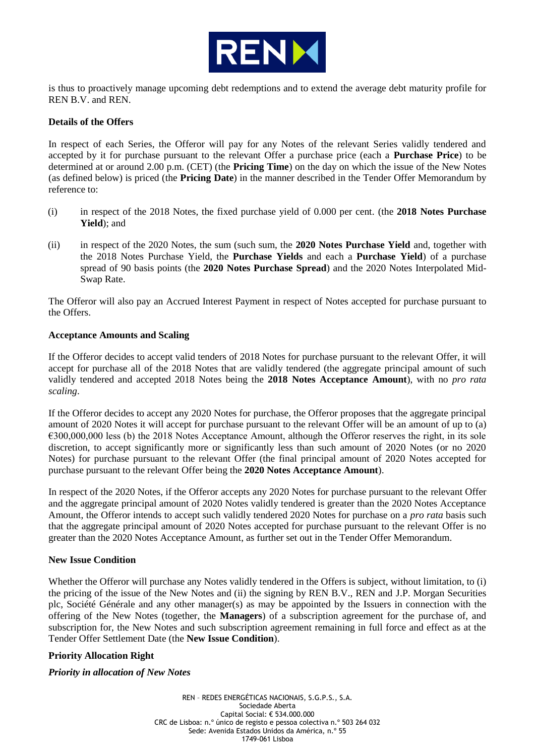

is thus to proactively manage upcoming debt redemptions and to extend the average debt maturity profile for REN B.V. and REN.

## **Details of the Offers**

In respect of each Series, the Offeror will pay for any Notes of the relevant Series validly tendered and accepted by it for purchase pursuant to the relevant Offer a purchase price (each a **Purchase Price**) to be determined at or around 2.00 p.m. (CET) (the **Pricing Time**) on the day on which the issue of the New Notes (as defined below) is priced (the **Pricing Date**) in the manner described in the Tender Offer Memorandum by reference to:

- (i) in respect of the 2018 Notes, the fixed purchase yield of 0.000 per cent. (the **2018 Notes Purchase Yield**); and
- (ii) in respect of the 2020 Notes, the sum (such sum, the **2020 Notes Purchase Yield** and, together with the 2018 Notes Purchase Yield, the **Purchase Yields** and each a **Purchase Yield**) of a purchase spread of 90 basis points (the **2020 Notes Purchase Spread**) and the 2020 Notes Interpolated Mid-Swap Rate.

The Offeror will also pay an Accrued Interest Payment in respect of Notes accepted for purchase pursuant to the Offers.

## **Acceptance Amounts and Scaling**

If the Offeror decides to accept valid tenders of 2018 Notes for purchase pursuant to the relevant Offer, it will accept for purchase all of the 2018 Notes that are validly tendered (the aggregate principal amount of such validly tendered and accepted 2018 Notes being the **2018 Notes Acceptance Amount**), with no *pro rata scaling*.

If the Offeror decides to accept any 2020 Notes for purchase, the Offeror proposes that the aggregate principal amount of 2020 Notes it will accept for purchase pursuant to the relevant Offer will be an amount of up to (a) €300,000,000 less (b) the 2018 Notes Acceptance Amount, although the Offeror reserves the right, in its sole discretion, to accept significantly more or significantly less than such amount of 2020 Notes (or no 2020 Notes) for purchase pursuant to the relevant Offer (the final principal amount of 2020 Notes accepted for purchase pursuant to the relevant Offer being the **2020 Notes Acceptance Amount**).

In respect of the 2020 Notes, if the Offeror accepts any 2020 Notes for purchase pursuant to the relevant Offer and the aggregate principal amount of 2020 Notes validly tendered is greater than the 2020 Notes Acceptance Amount, the Offeror intends to accept such validly tendered 2020 Notes for purchase on a *pro rata* basis such that the aggregate principal amount of 2020 Notes accepted for purchase pursuant to the relevant Offer is no greater than the 2020 Notes Acceptance Amount, as further set out in the Tender Offer Memorandum.

## **New Issue Condition**

Whether the Offeror will purchase any Notes validly tendered in the Offers is subject, without limitation, to (i) the pricing of the issue of the New Notes and (ii) the signing by REN B.V., REN and J.P. Morgan Securities plc, Société Générale and any other manager(s) as may be appointed by the Issuers in connection with the offering of the New Notes (together, the **Managers**) of a subscription agreement for the purchase of, and subscription for, the New Notes and such subscription agreement remaining in full force and effect as at the Tender Offer Settlement Date (the **New Issue Condition**).

## **Priority Allocation Right**

## *Priority in allocation of New Notes*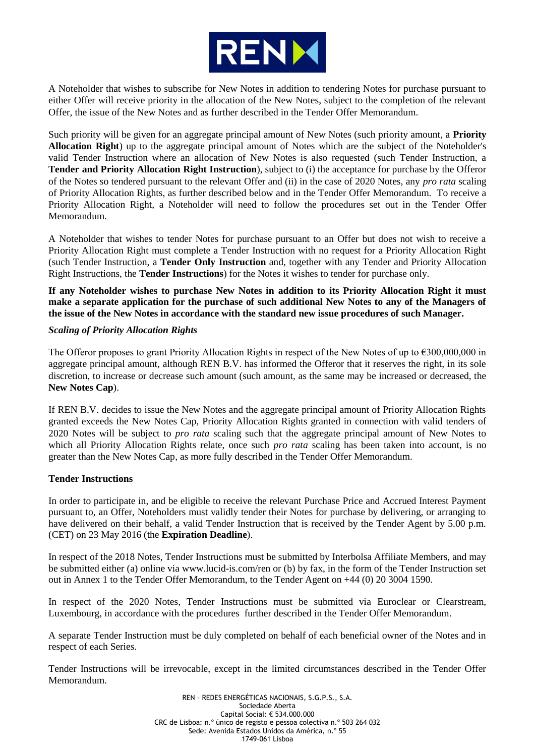

A Noteholder that wishes to subscribe for New Notes in addition to tendering Notes for purchase pursuant to either Offer will receive priority in the allocation of the New Notes, subject to the completion of the relevant Offer, the issue of the New Notes and as further described in the Tender Offer Memorandum.

Such priority will be given for an aggregate principal amount of New Notes (such priority amount, a **Priority Allocation Right**) up to the aggregate principal amount of Notes which are the subject of the Noteholder's valid Tender Instruction where an allocation of New Notes is also requested (such Tender Instruction, a **Tender and Priority Allocation Right Instruction**), subject to (i) the acceptance for purchase by the Offeror of the Notes so tendered pursuant to the relevant Offer and (ii) in the case of 2020 Notes, any *pro rata* scaling of Priority Allocation Rights, as further described below and in the Tender Offer Memorandum. To receive a Priority Allocation Right, a Noteholder will need to follow the procedures set out in the Tender Offer Memorandum.

A Noteholder that wishes to tender Notes for purchase pursuant to an Offer but does not wish to receive a Priority Allocation Right must complete a Tender Instruction with no request for a Priority Allocation Right (such Tender Instruction, a **Tender Only Instruction** and, together with any Tender and Priority Allocation Right Instructions, the **Tender Instructions**) for the Notes it wishes to tender for purchase only.

**If any Noteholder wishes to purchase New Notes in addition to its Priority Allocation Right it must make a separate application for the purchase of such additional New Notes to any of the Managers of the issue of the New Notes in accordance with the standard new issue procedures of such Manager.**

## *Scaling of Priority Allocation Rights*

The Offeror proposes to grant Priority Allocation Rights in respect of the New Notes of up to €300,000,000 in aggregate principal amount, although REN B.V. has informed the Offeror that it reserves the right, in its sole discretion, to increase or decrease such amount (such amount, as the same may be increased or decreased, the **New Notes Cap**).

If REN B.V. decides to issue the New Notes and the aggregate principal amount of Priority Allocation Rights granted exceeds the New Notes Cap, Priority Allocation Rights granted in connection with valid tenders of 2020 Notes will be subject to *pro rata* scaling such that the aggregate principal amount of New Notes to which all Priority Allocation Rights relate, once such *pro rata* scaling has been taken into account, is no greater than the New Notes Cap, as more fully described in the Tender Offer Memorandum.

## **Tender Instructions**

In order to participate in, and be eligible to receive the relevant Purchase Price and Accrued Interest Payment pursuant to, an Offer, Noteholders must validly tender their Notes for purchase by delivering, or arranging to have delivered on their behalf, a valid Tender Instruction that is received by the Tender Agent by 5.00 p.m. (CET) on 23 May 2016 (the **Expiration Deadline**).

In respect of the 2018 Notes, Tender Instructions must be submitted by Interbolsa Affiliate Members, and may be submitted either (a) online via www.lucid-is.com/ren or (b) by fax, in the form of the Tender Instruction set out in Annex 1 to the Tender Offer Memorandum, to the Tender Agent on +44 (0) 20 3004 1590.

In respect of the 2020 Notes, Tender Instructions must be submitted via Euroclear or Clearstream, Luxembourg, in accordance with the procedures further described in the Tender Offer Memorandum.

A separate Tender Instruction must be duly completed on behalf of each beneficial owner of the Notes and in respect of each Series.

Tender Instructions will be irrevocable, except in the limited circumstances described in the Tender Offer Memorandum.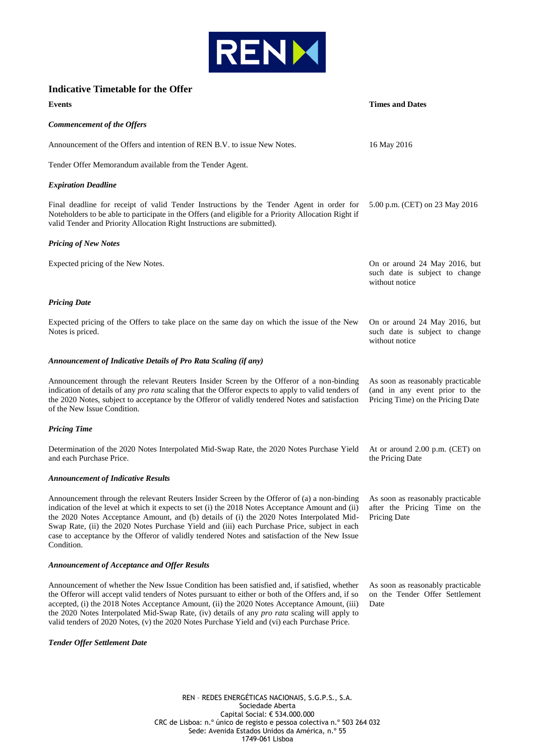

## **Indicative Timetable for the Offer**

| Events                                                                                                                                                                                                                                                                                                                                                                                                                                                                                                                                         | <b>Times and Dates</b>                                                                                   |  |
|------------------------------------------------------------------------------------------------------------------------------------------------------------------------------------------------------------------------------------------------------------------------------------------------------------------------------------------------------------------------------------------------------------------------------------------------------------------------------------------------------------------------------------------------|----------------------------------------------------------------------------------------------------------|--|
| <b>Commencement of the Offers</b>                                                                                                                                                                                                                                                                                                                                                                                                                                                                                                              |                                                                                                          |  |
| Announcement of the Offers and intention of REN B.V. to issue New Notes.                                                                                                                                                                                                                                                                                                                                                                                                                                                                       | 16 May 2016                                                                                              |  |
| Tender Offer Memorandum available from the Tender Agent.                                                                                                                                                                                                                                                                                                                                                                                                                                                                                       |                                                                                                          |  |
| <b>Expiration Deadline</b>                                                                                                                                                                                                                                                                                                                                                                                                                                                                                                                     |                                                                                                          |  |
| Final deadline for receipt of valid Tender Instructions by the Tender Agent in order for<br>Noteholders to be able to participate in the Offers (and eligible for a Priority Allocation Right if<br>valid Tender and Priority Allocation Right Instructions are submitted).                                                                                                                                                                                                                                                                    | 5.00 p.m. (CET) on 23 May 2016                                                                           |  |
| <b>Pricing of New Notes</b>                                                                                                                                                                                                                                                                                                                                                                                                                                                                                                                    |                                                                                                          |  |
| Expected pricing of the New Notes.                                                                                                                                                                                                                                                                                                                                                                                                                                                                                                             | On or around 24 May 2016, but<br>such date is subject to change<br>without notice                        |  |
| <b>Pricing Date</b>                                                                                                                                                                                                                                                                                                                                                                                                                                                                                                                            |                                                                                                          |  |
| Expected pricing of the Offers to take place on the same day on which the issue of the New<br>Notes is priced.                                                                                                                                                                                                                                                                                                                                                                                                                                 | On or around 24 May 2016, but<br>such date is subject to change<br>without notice                        |  |
| <b>Announcement of Indicative Details of Pro Rata Scaling (if any)</b>                                                                                                                                                                                                                                                                                                                                                                                                                                                                         |                                                                                                          |  |
| Announcement through the relevant Reuters Insider Screen by the Offeror of a non-binding<br>indication of details of any <i>pro rata</i> scaling that the Offeror expects to apply to valid tenders of<br>the 2020 Notes, subject to acceptance by the Offeror of validly tendered Notes and satisfaction<br>of the New Issue Condition.                                                                                                                                                                                                       | As soon as reasonably practicable<br>(and in any event prior to the<br>Pricing Time) on the Pricing Date |  |
| <b>Pricing Time</b>                                                                                                                                                                                                                                                                                                                                                                                                                                                                                                                            |                                                                                                          |  |
| Determination of the 2020 Notes Interpolated Mid-Swap Rate, the 2020 Notes Purchase Yield<br>and each Purchase Price.                                                                                                                                                                                                                                                                                                                                                                                                                          | At or around 2.00 p.m. (CET) on<br>the Pricing Date                                                      |  |
| <b>Announcement of Indicative Results</b>                                                                                                                                                                                                                                                                                                                                                                                                                                                                                                      |                                                                                                          |  |
| Announcement through the relevant Reuters Insider Screen by the Offeror of (a) a non-binding As soon as reasonably practicable<br>indication of the level at which it expects to set (i) the 2018 Notes Acceptance Amount and (ii)<br>the 2020 Notes Acceptance Amount, and (b) details of (i) the 2020 Notes Interpolated Mid-<br>Swap Rate, (ii) the 2020 Notes Purchase Yield and (iii) each Purchase Price, subject in each<br>case to acceptance by the Offeror of validly tendered Notes and satisfaction of the New Issue<br>Condition. | after the Pricing Time on the<br><b>Pricing Date</b>                                                     |  |
| <b>Announcement of Acceptance and Offer Results</b>                                                                                                                                                                                                                                                                                                                                                                                                                                                                                            |                                                                                                          |  |
| Announcement of whether the New Issue Condition has been satisfied and, if satisfied, whether<br>the Offeror will accept valid tenders of Notes pursuant to either or both of the Offers and, if so<br>accepted, (i) the 2018 Notes Acceptance Amount, (ii) the 2020 Notes Acceptance Amount, (iii)                                                                                                                                                                                                                                            | As soon as reasonably practicable<br>on the Tender Offer Settlement<br>Date                              |  |

*Tender Offer Settlement Date*

REN – REDES ENERGÉTICAS NACIONAIS, S.G.P.S., S.A. Sociedade Aberta Capital Social: € 534.000.000 CRC de Lisboa: n.º único de registo e pessoa colectiva n.º 503 264 032 Sede: Avenida Estados Unidos da América, n.º 55 1749-061 Lisboa

the 2020 Notes Interpolated Mid-Swap Rate, (iv) details of any *pro rata* scaling will apply to valid tenders of 2020 Notes, (v) the 2020 Notes Purchase Yield and (vi) each Purchase Price.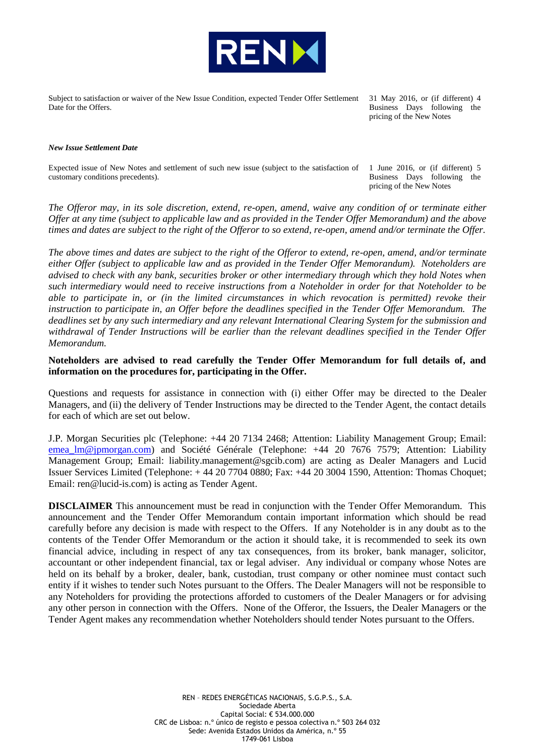

Subject to satisfaction or waiver of the New Issue Condition, expected Tender Offer Settlement Date for the Offers.

31 May 2016, or (if different) 4 Business Days following the pricing of the New Notes

#### *New Issue Settlement Date*

Expected issue of New Notes and settlement of such new issue (subject to the satisfaction of customary conditions precedents).

1 June 2016, or (if different) 5 Business Days following the pricing of the New Notes

*The Offeror may, in its sole discretion, extend, re-open, amend, waive any condition of or terminate either Offer at any time (subject to applicable law and as provided in the Tender Offer Memorandum) and the above times and dates are subject to the right of the Offeror to so extend, re-open, amend and/or terminate the Offer.*

*The above times and dates are subject to the right of the Offeror to extend, re-open, amend, and/or terminate either Offer (subject to applicable law and as provided in the Tender Offer Memorandum). Noteholders are advised to check with any bank, securities broker or other intermediary through which they hold Notes when such intermediary would need to receive instructions from a Noteholder in order for that Noteholder to be able to participate in, or (in the limited circumstances in which revocation is permitted) revoke their instruction to participate in, an Offer before the deadlines specified in the Tender Offer Memorandum. The deadlines set by any such intermediary and any relevant International Clearing System for the submission and withdrawal of Tender Instructions will be earlier than the relevant deadlines specified in the Tender Offer Memorandum.*

**Noteholders are advised to read carefully the Tender Offer Memorandum for full details of, and information on the procedures for, participating in the Offer.**

Questions and requests for assistance in connection with (i) either Offer may be directed to the Dealer Managers, and (ii) the delivery of Tender Instructions may be directed to the Tender Agent, the contact details for each of which are set out below.

J.P. Morgan Securities plc (Telephone: +44 20 7134 2468; Attention: Liability Management Group; Email: [emea\\_lm@jpmorgan.com\)](mailto:emea_lm@jpmorgan.com) and Société Générale (Telephone: +44 20 7676 7579; Attention: Liability Management Group; Email: liability.management@sgcib.com) are acting as Dealer Managers and Lucid Issuer Services Limited (Telephone: + 44 20 7704 0880; Fax: +44 20 3004 1590, Attention: Thomas Choquet; Email: ren@lucid-is.com) is acting as Tender Agent.

**DISCLAIMER** This announcement must be read in conjunction with the Tender Offer Memorandum. This announcement and the Tender Offer Memorandum contain important information which should be read carefully before any decision is made with respect to the Offers. If any Noteholder is in any doubt as to the contents of the Tender Offer Memorandum or the action it should take, it is recommended to seek its own financial advice, including in respect of any tax consequences, from its broker, bank manager, solicitor, accountant or other independent financial, tax or legal adviser. Any individual or company whose Notes are held on its behalf by a broker, dealer, bank, custodian, trust company or other nominee must contact such entity if it wishes to tender such Notes pursuant to the Offers. The Dealer Managers will not be responsible to any Noteholders for providing the protections afforded to customers of the Dealer Managers or for advising any other person in connection with the Offers. None of the Offeror, the Issuers, the Dealer Managers or the Tender Agent makes any recommendation whether Noteholders should tender Notes pursuant to the Offers.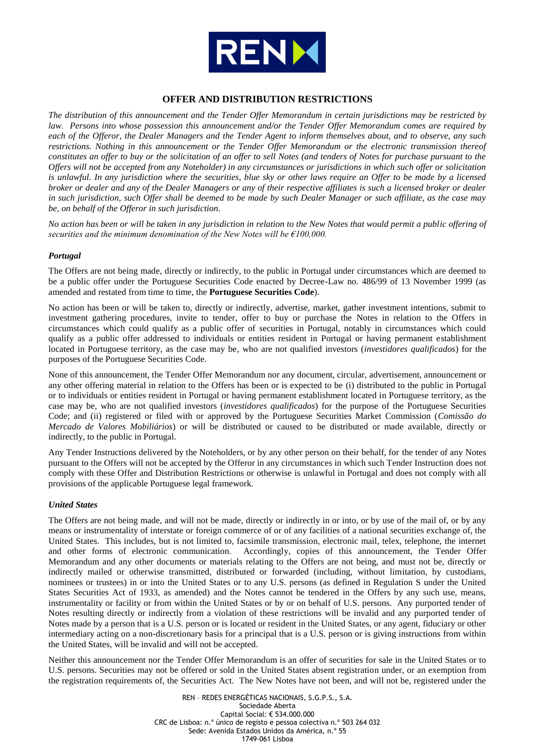

## **OFFER AND DISTRIBUTION RESTRICTIONS**

*The distribution of this announcement and the Tender Offer Memorandum in certain jurisdictions may be restricted by law. Persons into whose possession this announcement and/or the Tender Offer Memorandum comes are required by each of the Offeror, the Dealer Managers and the Tender Agent to inform themselves about, and to observe, any such restrictions. Nothing in this announcement or the Tender Offer Memorandum or the electronic transmission thereof constitutes an offer to buy or the solicitation of an offer to sell Notes (and tenders of Notes for purchase pursuant to the Offers will not be accepted from any Noteholder) in any circumstances or jurisdictions in which such offer or solicitation is unlawful. In any jurisdiction where the securities, blue sky or other laws require an Offer to be made by a licensed broker or dealer and any of the Dealer Managers or any of their respective affiliates is such a licensed broker or dealer in such jurisdiction, such Offer shall be deemed to be made by such Dealer Manager or such affiliate, as the case may be, on behalf of the Offeror in such jurisdiction.*

*No action has been or will be taken in any jurisdiction in relation to the New Notes that would permit a public offering of securities and the minimum denomination of the New Notes will be €100,000.*

#### *Portugal*

The Offers are not being made, directly or indirectly, to the public in Portugal under circumstances which are deemed to be a public offer under the Portuguese Securities Code enacted by Decree-Law no. 486/99 of 13 November 1999 (as amended and restated from time to time, the **Portuguese Securities Code**).

No action has been or will be taken to, directly or indirectly, advertise, market, gather investment intentions, submit to investment gathering procedures, invite to tender, offer to buy or purchase the Notes in relation to the Offers in circumstances which could qualify as a public offer of securities in Portugal, notably in circumstances which could qualify as a public offer addressed to individuals or entities resident in Portugal or having permanent establishment located in Portuguese territory, as the case may be, who are not qualified investors (*investidores qualificados*) for the purposes of the Portuguese Securities Code.

None of this announcement, the Tender Offer Memorandum nor any document, circular, advertisement, announcement or any other offering material in relation to the Offers has been or is expected to be (i) distributed to the public in Portugal or to individuals or entities resident in Portugal or having permanent establishment located in Portuguese territory, as the case may be, who are not qualified investors (*investidores qualificados*) for the purpose of the Portuguese Securities Code; and (ii) registered or filed with or approved by the Portuguese Securities Market Commission (*Comissão do Mercado de Valores Mobiliários*) or will be distributed or caused to be distributed or made available, directly or indirectly, to the public in Portugal.

Any Tender Instructions delivered by the Noteholders, or by any other person on their behalf, for the tender of any Notes pursuant to the Offers will not be accepted by the Offeror in any circumstances in which such Tender Instruction does not comply with these Offer and Distribution Restrictions or otherwise is unlawful in Portugal and does not comply with all provisions of the applicable Portuguese legal framework.

#### *United States*

The Offers are not being made, and will not be made, directly or indirectly in or into, or by use of the mail of, or by any means or instrumentality of interstate or foreign commerce of or of any facilities of a national securities exchange of, the United States. This includes, but is not limited to, facsimile transmission, electronic mail, telex, telephone, the internet and other forms of electronic communication. Accordingly, copies of this announcement, the Tender Offer Memorandum and any other documents or materials relating to the Offers are not being, and must not be, directly or indirectly mailed or otherwise transmitted, distributed or forwarded (including, without limitation, by custodians, nominees or trustees) in or into the United States or to any U.S. persons (as defined in Regulation S under the United States Securities Act of 1933, as amended) and the Notes cannot be tendered in the Offers by any such use, means, instrumentality or facility or from within the United States or by or on behalf of U.S. persons. Any purported tender of Notes resulting directly or indirectly from a violation of these restrictions will be invalid and any purported tender of Notes made by a person that is a U.S. person or is located or resident in the United States, or any agent, fiduciary or other intermediary acting on a non-discretionary basis for a principal that is a U.S. person or is giving instructions from within the United States, will be invalid and will not be accepted.

Neither this announcement nor the Tender Offer Memorandum is an offer of securities for sale in the United States or to U.S. persons. Securities may not be offered or sold in the United States absent registration under, or an exemption from the registration requirements of, the Securities Act. The New Notes have not been, and will not be, registered under the